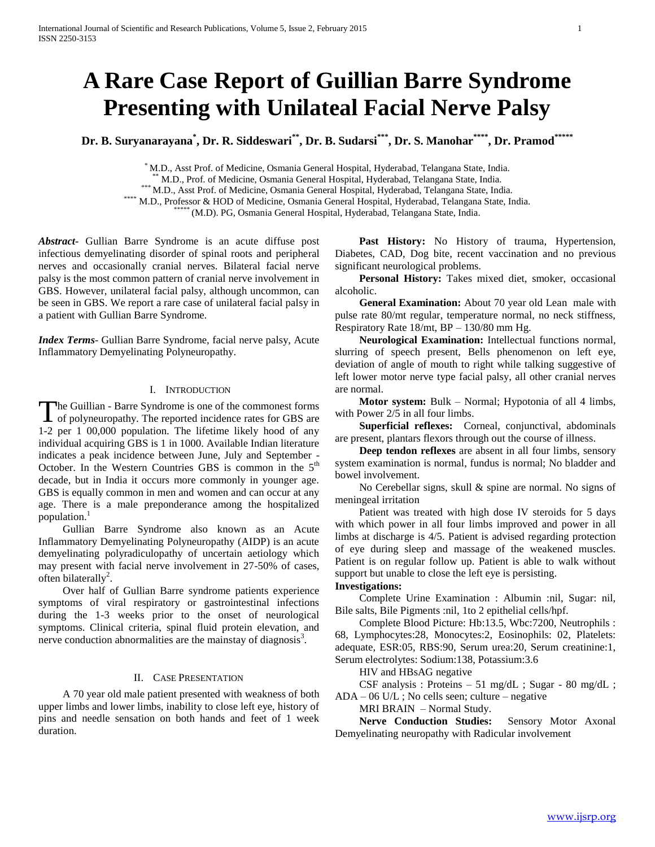# **A Rare Case Report of Guillian Barre Syndrome Presenting with Unilateal Facial Nerve Palsy**

**Dr. B. Suryanarayana\* , Dr. R. Siddeswari\*\* , Dr. B. Sudarsi\*\*\*, Dr. S. Manohar\*\*\*\* , Dr. Pramod\*\*\*\*\***

\* M.D., Asst Prof. of Medicine, Osmania General Hospital, Hyderabad, Telangana State, India.

\*\* M.D., Prof. of Medicine, Osmania General Hospital, Hyderabad, Telangana State, India.

\*\*\* M.D., Asst Prof. of Medicine, Osmania General Hospital, Hyderabad, Telangana State, India.

\*\*\*\* M.D., Professor & HOD of Medicine, Osmania General Hospital, Hyderabad, Telangana State, India.

\* (M.D). PG, Osmania General Hospital, Hyderabad, Telangana State, India.

*Abstract***-** Gullian Barre Syndrome is an acute diffuse post infectious demyelinating disorder of spinal roots and peripheral nerves and occasionally cranial nerves. Bilateral facial nerve palsy is the most common pattern of cranial nerve involvement in GBS. However, unilateral facial palsy, although uncommon, can be seen in GBS. We report a rare case of unilateral facial palsy in a patient with Gullian Barre Syndrome.

*Index Terms*- Gullian Barre Syndrome, facial nerve palsy, Acute Inflammatory Demyelinating Polyneuropathy.

## I. INTRODUCTION

The Guillian - Barre Syndrome is one of the commonest forms The Guillian - Barre Syndrome is one of the commonest forms<br>of polyneuropathy. The reported incidence rates for GBS are 1-2 per 1 00,000 population. The lifetime likely hood of any individual acquiring GBS is 1 in 1000. Available Indian literature indicates a peak incidence between June, July and September - October. In the Western Countries GBS is common in the  $5<sup>th</sup>$ decade, but in India it occurs more commonly in younger age. GBS is equally common in men and women and can occur at any age. There is a male preponderance among the hospitalized population.<sup>1</sup>

 Gullian Barre Syndrome also known as an Acute Inflammatory Demyelinating Polyneuropathy (AIDP) is an acute demyelinating polyradiculopathy of uncertain aetiology which may present with facial nerve involvement in 27-50% of cases, often bilaterally<sup>2</sup>.

 Over half of Gullian Barre syndrome patients experience symptoms of viral respiratory or gastrointestinal infections during the 1-3 weeks prior to the onset of neurological symptoms. Clinical criteria, spinal fluid protein elevation, and nerve conduction abnormalities are the mainstay of diagnosis $3$ .

## II. CASE PRESENTATION

 A 70 year old male patient presented with weakness of both upper limbs and lower limbs, inability to close left eye, history of pins and needle sensation on both hands and feet of 1 week duration.

 **Past History:** No History of trauma, Hypertension, Diabetes, CAD, Dog bite, recent vaccination and no previous significant neurological problems.

 **Personal History:** Takes mixed diet, smoker, occasional alcoholic.

 **General Examination:** About 70 year old Lean male with pulse rate 80/mt regular, temperature normal, no neck stiffness, Respiratory Rate 18/mt, BP – 130/80 mm Hg.

 **Neurological Examination:** Intellectual functions normal, slurring of speech present, Bells phenomenon on left eye, deviation of angle of mouth to right while talking suggestive of left lower motor nerve type facial palsy, all other cranial nerves are normal.

**Motor system:** Bulk – Normal; Hypotonia of all 4 limbs, with Power  $2/5$  in all four limbs.

 **Superficial reflexes:** Corneal, conjunctival, abdominals are present, plantars flexors through out the course of illness.

 **Deep tendon reflexes** are absent in all four limbs, sensory system examination is normal, fundus is normal; No bladder and bowel involvement.

 No Cerebellar signs, skull & spine are normal. No signs of meningeal irritation

 Patient was treated with high dose IV steroids for 5 days with which power in all four limbs improved and power in all limbs at discharge is 4/5. Patient is advised regarding protection of eye during sleep and massage of the weakened muscles. Patient is on regular follow up. Patient is able to walk without support but unable to close the left eye is persisting.

### **Investigations:**

 Complete Urine Examination : Albumin :nil, Sugar: nil, Bile salts, Bile Pigments :nil, 1to 2 epithelial cells/hpf.

 Complete Blood Picture: Hb:13.5, Wbc:7200, Neutrophils : 68, Lymphocytes:28, Monocytes:2, Eosinophils: 02, Platelets: adequate, ESR:05, RBS:90, Serum urea:20, Serum creatinine:1, Serum electrolytes: Sodium:138, Potassium:3.6

HIV and HBsAG negative

 CSF analysis : Proteins – 51 mg/dL ; Sugar - 80 mg/dL ;  $ADA - 06$  U/L; No cells seen; culture – negative

MRI BRAIN – Normal Study.

 **Nerve Conduction Studies:** Sensory Motor Axonal Demyelinating neuropathy with Radicular involvement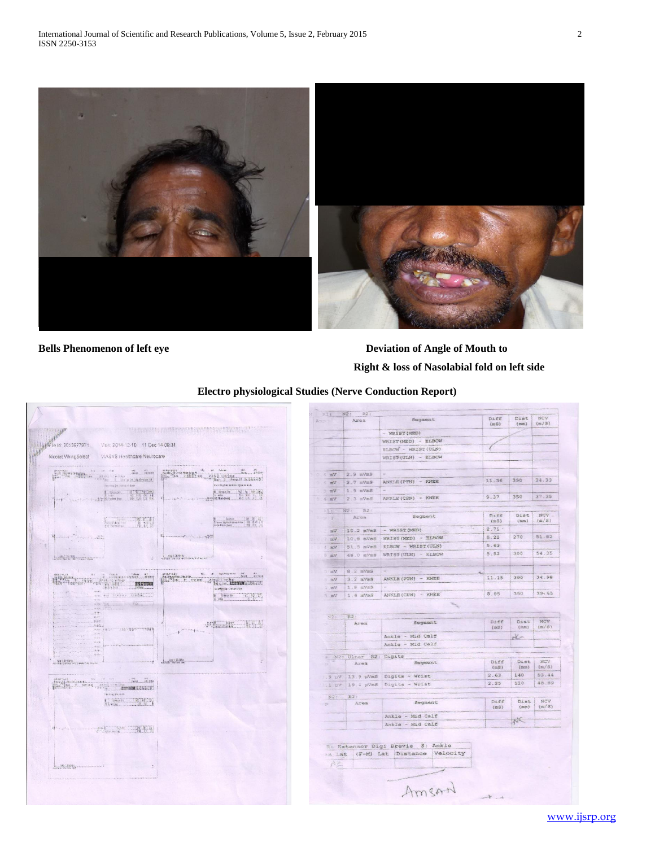

**Bells Phenomenon of left eye** Deviation of Angle of Mouth to  **Right & loss of Nasolabial fold on left side**

# **Electro physiological Studies (Nerve Conduction Report)**



|                                    |                                |                                      | (mS)         | Dist<br>$(\pi m)$ | (m/3)            |
|------------------------------------|--------------------------------|--------------------------------------|--------------|-------------------|------------------|
|                                    |                                | $-$ WRIST (MED)                      |              |                   |                  |
|                                    |                                | WRIST (MED) - ELBOW                  |              |                   |                  |
|                                    |                                | ELBOW - WRIST (ULN)                  |              |                   |                  |
|                                    |                                | WRIST(ULN) - ELBOW                   |              |                   |                  |
|                                    |                                |                                      |              |                   |                  |
| $C = 6$ mV                         | $2.9$ mVmS                     |                                      |              |                   |                  |
| $V =$                              | $2.7$ mVmS                     | ANNIE (PTN) - KNEE                   | 11.36        | 390               | 34.33            |
| Vm E                               | 1.9 mVmS                       |                                      |              |                   |                  |
| $U \equiv 1$                       | $2.3$ mVmS                     | ANKLE (CPN) - KNEE                   | 9.37         | 350               | 37.35            |
|                                    |                                |                                      |              |                   |                  |
| Rit-                               | N2: R2:                        |                                      |              |                   |                  |
| $72 - 20$                          | Area                           | Segment                              | Diff<br>(mB) | Dist<br>(mn)      | NCV<br>$(g_0/S)$ |
|                                    |                                | 10.2 mVmS   - WRIST (MED)            | $2.71 -$     |                   |                  |
| $-12V$                             |                                |                                      | 5.21         | 270               | 51.82            |
| $7 - 1254$                         | Savas 8,02                     | WRIST(MED) - BIDOW                   | 5.63         |                   |                  |
| 4.107                              | Si.5 mVm3                      | ELEOW - WRIST (ULN)                  | 5.52         | 300               | 54.35            |
| $Vm = 8$                           | 48.0 mVmS                      | WRIST (ULN) - ELBOW                  |              |                   |                  |
|                                    |                                |                                      |              |                   |                  |
| Vm                                 | $8.2$ mVmS                     |                                      |              |                   | 34.98            |
|                                    | 3.2 mVm8                       | ANCLE (PTN) - KNEE                   | 11.15        | 390               |                  |
|                                    |                                |                                      |              |                   |                  |
|                                    | 1.8 mVmS                       | $\sim$                               |              |                   |                  |
| $N21 -$                            | $1.6$ $m$ VnS<br>R2:           | ANKLE (CFN) - KNEE                   | 8,85         | 350               | $39 - 55$        |
| 1 mV                               | Area                           | Segment                              | Diff<br>(mS) | Dist<br>(mn)      | NCV<br>(m/8)     |
|                                    |                                | Ankle - Mid Calf                     |              | x                 |                  |
|                                    |                                | Ankle - Mid Calf                     |              |                   |                  |
|                                    |                                |                                      |              |                   |                  |
|                                    | # W2: Ulnar R2: Digits<br>Area | Segment                              | Diff<br>(mS) | Dist<br>(mn)      | NOV<br>$\{m/S\}$ |
|                                    |                                |                                      | 2.63         | 140               | 53.44            |
|                                    |                                | 13.9 uVmS Digits - Wrist             | 2.25         | 110               | 48.89            |
|                                    |                                | 19.4 µVmS Digits - Wrist             |              |                   |                  |
| 222:                               | R2:                            |                                      |              |                   |                  |
|                                    | Area                           | Segment                              | Diff<br>(mS) | Dist<br>(mn)      | NOV<br>(m/5)     |
| . mV<br>5 mV<br>9.9<br>1.1 pV<br>P |                                |                                      |              |                   |                  |
|                                    |                                | Ankle - Mid Calf<br>Ankla - Mid Calf |              | NE                |                  |